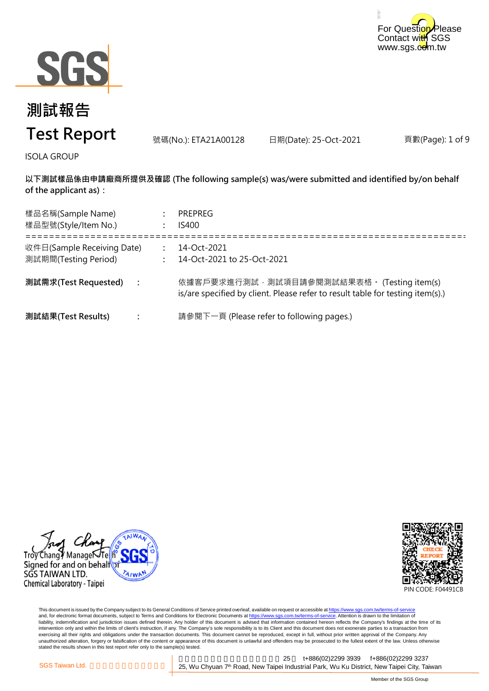



# **測試報告 Test Report**

號碼(No.): ETA21A00128 日期(Date): 25-Oct-2021

頁數(Page): 1 of 9

ISOLA GROUP

**以下測試樣品係由申請廠商所提供及確認 (The following sample(s) was/were submitted and identified by/on behalf of the applicant as):**

| 樣品名稱(Sample Name)<br>樣品型號(Style/Item No.)          |                      | <b>PREPREG</b><br><b>IS400</b>                                                                                               |
|----------------------------------------------------|----------------------|------------------------------------------------------------------------------------------------------------------------------|
| 收件日(Sample Receiving Date)<br>測試期間(Testing Period) |                      | 14-Oct-2021<br>14-Oct-2021 to 25-Oct-2021                                                                                    |
| 測試需求(Test Requested)                               | $\ddot{\phantom{a}}$ | 依據客戶要求進行測試,測試項目請參閱測試結果表格。 (Testing item(s)<br>is/are specified by client. Please refer to result table for testing item(s).) |
| 測試結果(Test Results)                                 |                      | 請參閱下一頁 (Please refer to following pages.)                                                                                    |





This document is issued by the Company subject to its General Conditions of Service printed overleaf, available on request or accessible at <u>https://www.sgs.com.tw/terms-of-service</u><br>and, for electronic format documents, su liability, indemnification and jurisdiction issues defined therein. Any holder of this document is advised that information contained hereon reflects the Company's findings at the time of its intervention only and within the limits of client's instruction, if any. The Company's sole responsibility is to its Client and this document does not exonerate parties to a transaction from exercising all their rights and obligations under the transaction documents. This document cannot be reproduced, except in full, without prior written approval of the Company. Any<br>unauthorized alteration, forgery or falsif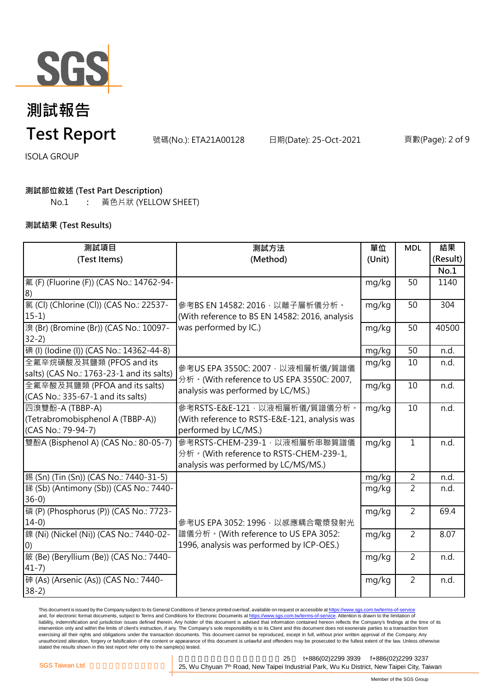

頁數(Page): 2 of 9

ISOLA GROUP

### **測試部位敘述 (Test Part Description)**

No.1 **:** 黃色片狀 (YELLOW SHEET)

### **測試結果 (Test Results)**

| 測試項目                                                                      | 測試方法                                                                                                                 | 單位     | <b>MDL</b>     | 結果       |
|---------------------------------------------------------------------------|----------------------------------------------------------------------------------------------------------------------|--------|----------------|----------|
| (Test Items)                                                              | (Method)                                                                                                             | (Unit) |                | (Result) |
|                                                                           |                                                                                                                      |        |                | No.1     |
| 氟 (F) (Fluorine (F)) (CAS No.: 14762-94-<br> 8)                           |                                                                                                                      | mg/kg  | 50             | 1140     |
| 氯 (Cl) (Chlorine (Cl)) (CAS No.: 22537-<br>$15-1)$                        | 參考BS EN 14582: 2016, 以離子層析儀分析。<br>(With reference to BS EN 14582: 2016, analysis                                     | mg/kg  | 50             | 304      |
| 溴 (Br) (Bromine (Br)) (CAS No.: 10097-<br>$32-2)$                         | was performed by IC.)                                                                                                | mg/kg  | 50             | 40500    |
| [碘 (I) (lodine (I)) (CAS No.: 14362-44-8)                                 |                                                                                                                      | mg/kg  | 50             | n.d.     |
| 全氟辛烷磺酸及其鹽類 (PFOS and its<br>salts) (CAS No.: 1763-23-1 and its salts)     | 參考US EPA 3550C: 2007, 以液相層析儀/質譜儀<br>分析 · (With reference to US EPA 3550C: 2007,<br>analysis was performed by LC/MS.) | mg/kg  | 10             | n.d.     |
| 全氟辛酸及其鹽類 (PFOA and its salts)<br>(CAS No.: 335-67-1 and its salts)        |                                                                                                                      | mg/kg  | 10             | n.d.     |
| 四溴雙酚-A (TBBP-A)<br>(Tetrabromobisphenol A (TBBP-A))<br>(CAS No.: 79-94-7) | 參考RSTS-E&E-121,以液相層析儀/質譜儀分析。<br>(With reference to RSTS-E&E-121, analysis was<br>performed by LC/MS.)                | mg/kg  | 10             | n.d.     |
| 雙酚A (Bisphenol A) (CAS No.: 80-05-7)                                      | 參考RSTS-CHEM-239-1, 以液相層析串聯質譜儀<br>分析。(With reference to RSTS-CHEM-239-1,<br>analysis was performed by LC/MS/MS.)      | mg/kg  | $\mathbf{1}$   | n.d.     |
| 錫 (Sn) (Tin (Sn)) (CAS No.: 7440-31-5)                                    |                                                                                                                      | mg/kg  | $\overline{2}$ | n.d.     |
| 銻 (Sb) (Antimony (Sb)) (CAS No.: 7440-<br>$36-0$                          |                                                                                                                      | mg/kg  | $\overline{2}$ | n.d.     |
| 磷 (P) (Phosphorus (P)) (CAS No.: 7723-<br>$14-0$                          | 參考US EPA 3052: 1996, 以感應耦合電漿發射光<br>譜儀分析。(With reference to US EPA 3052:<br>1996, analysis was performed by ICP-OES.) | mg/kg  | $\overline{2}$ | 69.4     |
| 鎳 (Ni) (Nickel (Ni)) (CAS No.: 7440-02-<br>(0)                            |                                                                                                                      | mg/kg  | $\overline{2}$ | 8.07     |
| 鈹 (Be) (Beryllium (Be)) (CAS No.: 7440-<br>$41 - 7$                       |                                                                                                                      | mg/kg  | $\overline{2}$ | n.d.     |
| 砷 (As) (Arsenic (As)) (CAS No.: 7440-<br>$38-2)$                          |                                                                                                                      | mg/kg  | $\overline{2}$ | n.d.     |

This document is issued by the Company subject to its General Conditions of Service printed overleaf, available on request or accessible at <u>https://www.sgs.com.tw/terms-of-service</u><br>and, for electronic format documents, su liability, indemnification and jurisdiction issues defined therein. Any holder of this document is advised that information contained hereon reflects the Company's findings at the time of its intervention only and within the limits of client's instruction, if any. The Company's sole responsibility is to its Client and this document does not exonerate parties to a transaction from exercising all their rights and obligations under the transaction documents. This document cannot be reproduced, except in full, without prior written approval of the Company. Any<br>unauthorized alteration, forgery or falsif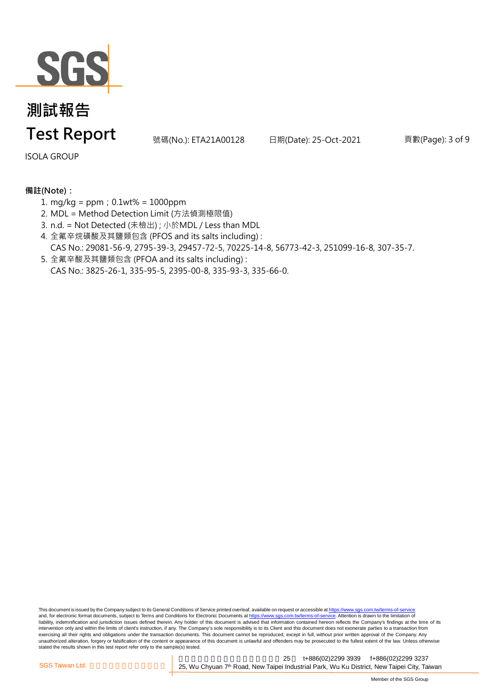

頁數(Page): 3 of 9

ISOLA GROUP

### **備註(Note):**

- 1. mg/kg = ppm;0.1wt% = 1000ppm
- 2. MDL = Method Detection Limit (方法偵測極限值)
- 3. n.d. = Not Detected (未檢出) ; 小於MDL / Less than MDL
- 4. 全氟辛烷磺酸及其鹽類包含 (PFOS and its salts including) : CAS No.: 29081-56-9, 2795-39-3, 29457-72-5, 70225-14-8, 56773-42-3, 251099-16-8, 307-35-7.
- 5. 全氟辛酸及其鹽類包含 (PFOA and its salts including) : CAS No.: 3825-26-1, 335-95-5, 2395-00-8, 335-93-3, 335-66-0.

This document is issued by the Company subject to its General Conditions of Service printed overleaf, available on request or accessible at https://www.sgs.com.tw/terms-of-service and, for electronic format documents, subject to Terms and Conditions for Electronic Documents at https://www.sgs.com.tw/terms-of-service. Attention is drawn to the limitation of liability, indemnification and jurisdiction issues defined therein. Any holder of this document is advised that information contained hereon reflects the Company's findings at the time of its intervention only and within the limits of client's instruction, if any. The Company's sole responsibility is to its Client and this document does not exonerate parties to a transaction from exercising all their rights and obligations under the transaction documents. This document cannot be reproduced, except in full, without prior written approval of the Company. Any<br>unauthorized alteration, forgery or falsif stated the results shown in this test report refer only to the sample(s) tested.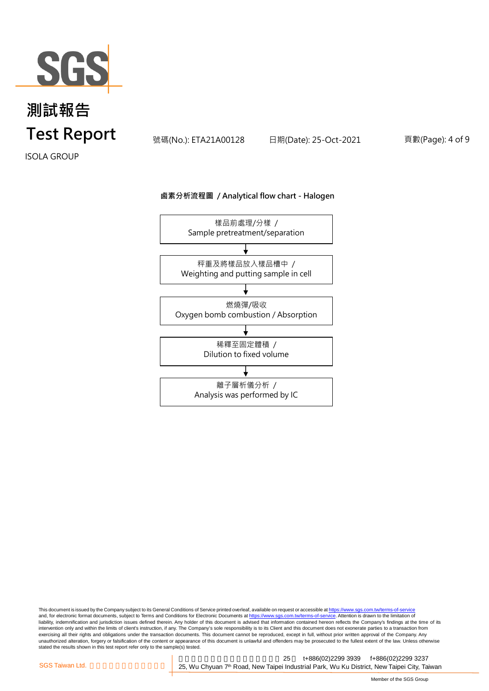

頁數(Page): 4 of 9

ISOLA GROUP

#### **鹵素分析流程圖 / Analytical flow chart - Halogen**



This document is issued by the Company subject to its General Conditions of Service printed overleaf, available on request or accessible at <u>https://www.sgs.com.tw/terms-of-service</u><br>and, for electronic format documents, su liability, indemnification and jurisdiction issues defined therein. Any holder of this document is advised that information contained hereon reflects the Company's findings at the time of its intervention only and within the limits of client's instruction, if any. The Company's sole responsibility is to its Client and this document does not exonerate parties to a transaction from exercising all their rights and obligations under the transaction documents. This document cannot be reproduced, except in full, without prior written approval of the Company. Any<br>unauthorized alteration, forgery or falsif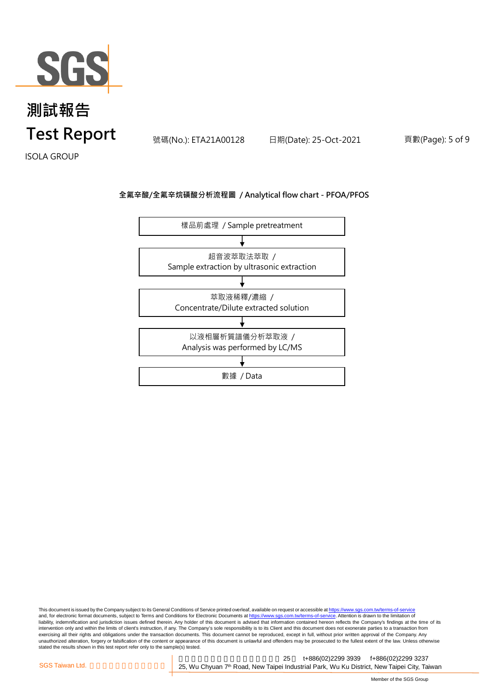

頁數(Page): 5 of 9

ISOLA GROUP

### **全氟辛酸/全氟辛烷磺酸分析流程圖 / Analytical flow chart - PFOA/PFOS**



This document is issued by the Company subject to its General Conditions of Service printed overleaf, available on request or accessible at <u>https://www.sgs.com.tw/terms-of-service</u><br>and, for electronic format documents, su liability, indemnification and jurisdiction issues defined therein. Any holder of this document is advised that information contained hereon reflects the Company's findings at the time of its intervention only and within the limits of client's instruction, if any. The Company's sole responsibility is to its Client and this document does not exonerate parties to a transaction from exercising all their rights and obligations under the transaction documents. This document cannot be reproduced, except in full, without prior written approval of the Company. Any<br>unauthorized alteration, forgery or falsif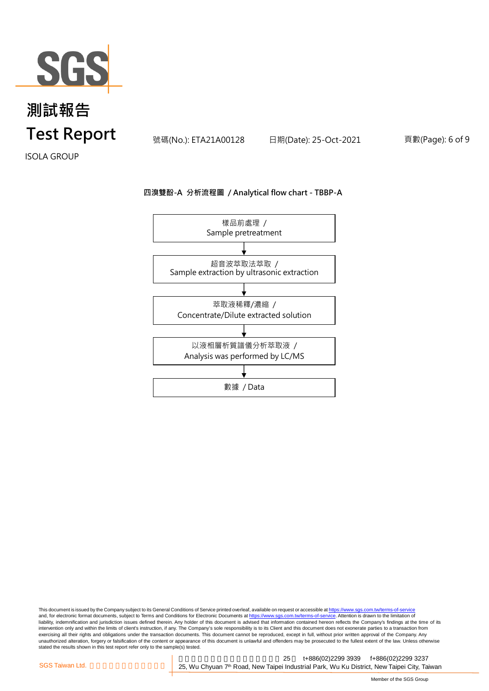

頁數(Page): 6 of 9

ISOLA GROUP

#### **四溴雙酚-A 分析流程圖 / Analytical flow chart - TBBP-A**



This document is issued by the Company subject to its General Conditions of Service printed overleaf, available on request or accessible at <u>https://www.sgs.com.tw/terms-of-service</u><br>and, for electronic format documents, su liability, indemnification and jurisdiction issues defined therein. Any holder of this document is advised that information contained hereon reflects the Company's findings at the time of its intervention only and within the limits of client's instruction, if any. The Company's sole responsibility is to its Client and this document does not exonerate parties to a transaction from exercising all their rights and obligations under the transaction documents. This document cannot be reproduced, except in full, without prior written approval of the Company. Any<br>unauthorized alteration, forgery or falsif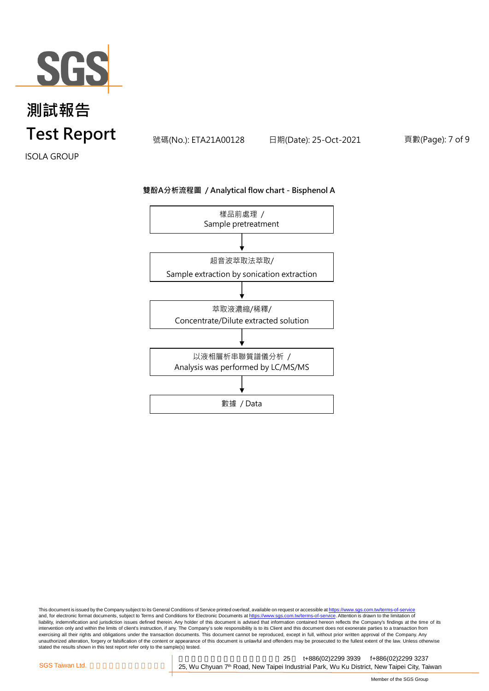

頁數(Page): 7 of 9

ISOLA GROUP

#### **雙酚A分析流程圖 / Analytical flow chart - Bisphenol A**



This document is issued by the Company subject to its General Conditions of Service printed overleaf, available on request or accessible at <u>https://www.sgs.com.tw/terms-of-service</u><br>and, for electronic format documents, su liability, indemnification and jurisdiction issues defined therein. Any holder of this document is advised that information contained hereon reflects the Company's findings at the time of its intervention only and within the limits of client's instruction, if any. The Company's sole responsibility is to its Client and this document does not exonerate parties to a transaction from exercising all their rights and obligations under the transaction documents. This document cannot be reproduced, except in full, without prior written approval of the Company. Any<br>unauthorized alteration, forgery or falsif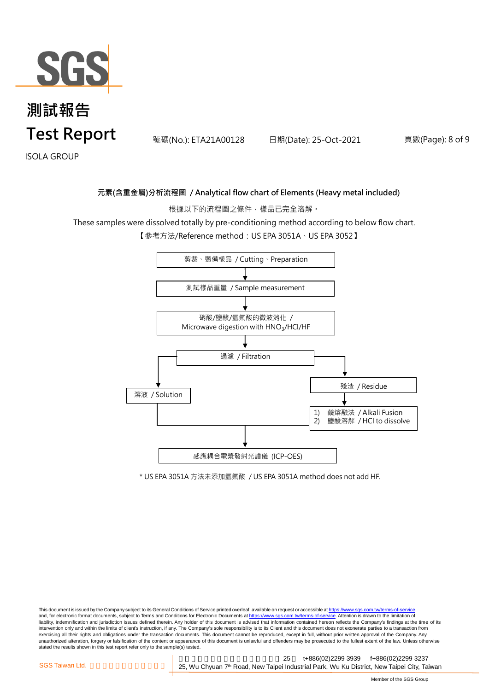

頁數(Page): 8 of 9

ISOLA GROUP

### **元素(含重金屬)分析流程圖 / Analytical flow chart of Elements (Heavy metal included)**

根據以下的流程圖之條件,樣品已完全溶解。

These samples were dissolved totally by pre-conditioning method according to below flow chart.

【參考方法/Reference method:US EPA 3051A、US EPA 3052】



\* US EPA 3051A 方法未添加氫氟酸 / US EPA 3051A method does not add HF.

This document is issued by the Company subject to its General Conditions of Service printed overleaf, available on request or accessible at https://www.sgs.com.tw/terms-of-service and, for electronic format documents, subject to Terms and Conditions for Electronic Documents at https://www.sgs.com.tw/terms-of-service. Attention is drawn to the limitation of liability, indemnification and jurisdiction issues defined therein. Any holder of this document is advised that information contained hereon reflects the Company's findings at the time of its intervention only and within the limits of client's instruction, if any. The Company's sole responsibility is to its Client and this document does not exonerate parties to a transaction from exercising all their rights and obligations under the transaction documents. This document cannot be reproduced, except in full, without prior written approval of the Company. Any<br>unauthorized alteration, forgery or falsif